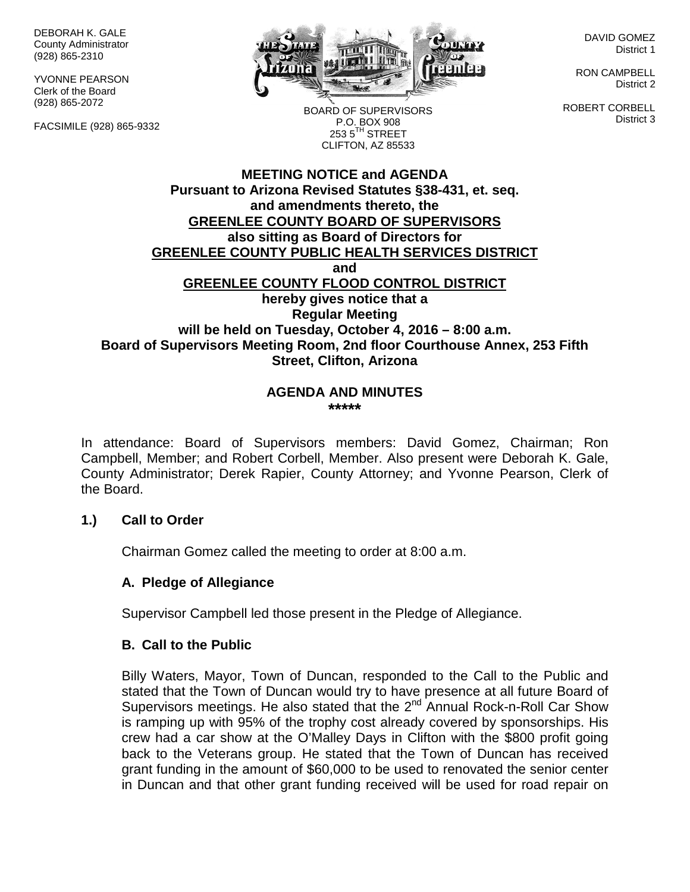DEBORAH K. GALE County Administrator (928) 865-2310

YVONNE PEARSON Clerk of the Board (928) 865-2072

FACSIMILE (928) 865-9332



BOARD OF SUPERVISORS P.O. BOX 908  $253.5$ <sup>TH</sup> STREET CLIFTON, AZ 85533

DAVID GOMEZ District 1

RON CAMPBELL District 2

ROBERT CORBELL District 3

# **MEETING NOTICE and AGENDA Pursuant to Arizona Revised Statutes §38-431, et. seq. and amendments thereto, the GREENLEE COUNTY BOARD OF SUPERVISORS also sitting as Board of Directors for GREENLEE COUNTY PUBLIC HEALTH SERVICES DISTRICT and GREENLEE COUNTY FLOOD CONTROL DISTRICT hereby gives notice that a Regular Meeting will be held on Tuesday, October 4, 2016 – 8:00 a.m. Board of Supervisors Meeting Room, 2nd floor Courthouse Annex, 253 Fifth Street, Clifton, Arizona**

#### **AGENDA AND MINUTES \*\*\*\*\***

In attendance: Board of Supervisors members: David Gomez, Chairman; Ron Campbell, Member; and Robert Corbell, Member. Also present were Deborah K. Gale, County Administrator; Derek Rapier, County Attorney; and Yvonne Pearson, Clerk of the Board.

# **1.) Call to Order**

Chairman Gomez called the meeting to order at 8:00 a.m.

# **A. Pledge of Allegiance**

Supervisor Campbell led those present in the Pledge of Allegiance.

### **B. Call to the Public**

Billy Waters, Mayor, Town of Duncan, responded to the Call to the Public and stated that the Town of Duncan would try to have presence at all future Board of Supervisors meetings. He also stated that the 2<sup>nd</sup> Annual Rock-n-Roll Car Show is ramping up with 95% of the trophy cost already covered by sponsorships. His crew had a car show at the O'Malley Days in Clifton with the \$800 profit going back to the Veterans group. He stated that the Town of Duncan has received grant funding in the amount of \$60,000 to be used to renovated the senior center in Duncan and that other grant funding received will be used for road repair on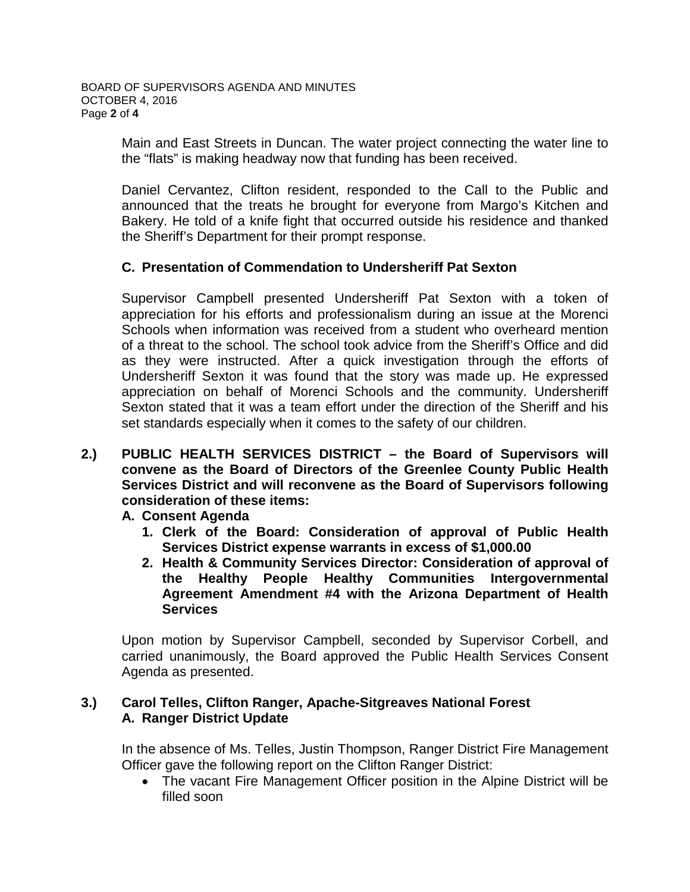Main and East Streets in Duncan. The water project connecting the water line to the "flats" is making headway now that funding has been received.

Daniel Cervantez, Clifton resident, responded to the Call to the Public and announced that the treats he brought for everyone from Margo's Kitchen and Bakery. He told of a knife fight that occurred outside his residence and thanked the Sheriff's Department for their prompt response.

# **C. Presentation of Commendation to Undersheriff Pat Sexton**

Supervisor Campbell presented Undersheriff Pat Sexton with a token of appreciation for his efforts and professionalism during an issue at the Morenci Schools when information was received from a student who overheard mention of a threat to the school. The school took advice from the Sheriff's Office and did as they were instructed. After a quick investigation through the efforts of Undersheriff Sexton it was found that the story was made up. He expressed appreciation on behalf of Morenci Schools and the community. Undersheriff Sexton stated that it was a team effort under the direction of the Sheriff and his set standards especially when it comes to the safety of our children.

**2.) PUBLIC HEALTH SERVICES DISTRICT – the Board of Supervisors will convene as the Board of Directors of the Greenlee County Public Health Services District and will reconvene as the Board of Supervisors following consideration of these items:**

**A. Consent Agenda**

- **1. Clerk of the Board: Consideration of approval of Public Health Services District expense warrants in excess of \$1,000.00**
- **2. Health & Community Services Director: Consideration of approval of the Healthy People Healthy Communities Intergovernmental Agreement Amendment #4 with the Arizona Department of Health Services**

Upon motion by Supervisor Campbell, seconded by Supervisor Corbell, and carried unanimously, the Board approved the Public Health Services Consent Agenda as presented.

# **3.) Carol Telles, Clifton Ranger, Apache-Sitgreaves National Forest A. Ranger District Update**

In the absence of Ms. Telles, Justin Thompson, Ranger District Fire Management Officer gave the following report on the Clifton Ranger District:

• The vacant Fire Management Officer position in the Alpine District will be filled soon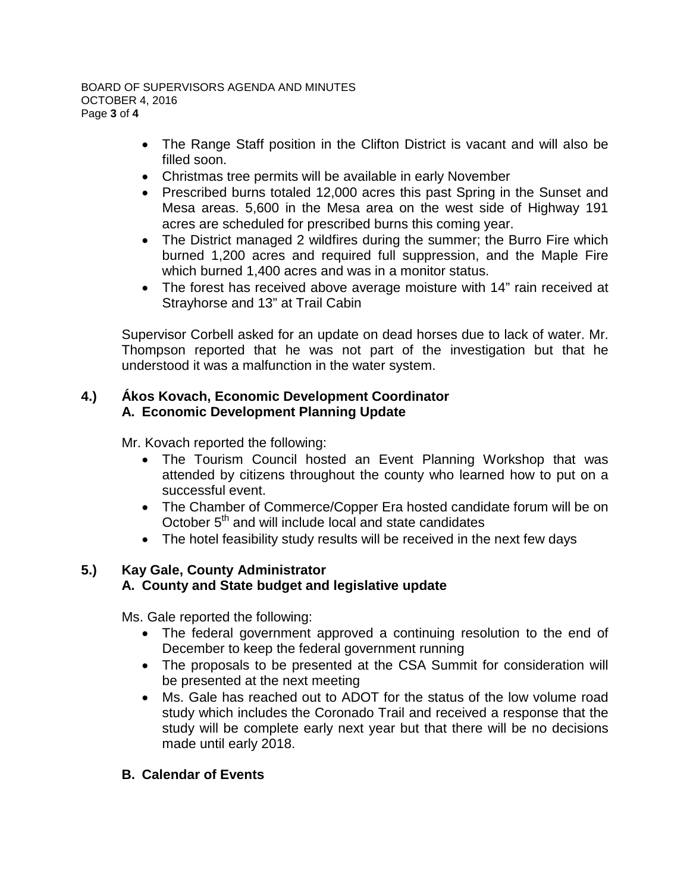#### BOARD OF SUPERVISORS AGENDA AND MINUTES OCTOBER 4, 2016 Page **3** of **4**

- The Range Staff position in the Clifton District is vacant and will also be filled soon.
- Christmas tree permits will be available in early November
- Prescribed burns totaled 12,000 acres this past Spring in the Sunset and Mesa areas. 5,600 in the Mesa area on the west side of Highway 191 acres are scheduled for prescribed burns this coming year.
- The District managed 2 wildfires during the summer; the Burro Fire which burned 1,200 acres and required full suppression, and the Maple Fire which burned 1,400 acres and was in a monitor status.
- The forest has received above average moisture with 14" rain received at Strayhorse and 13" at Trail Cabin

Supervisor Corbell asked for an update on dead horses due to lack of water. Mr. Thompson reported that he was not part of the investigation but that he understood it was a malfunction in the water system.

# **4.) Ákos Kovach, Economic Development Coordinator A. Economic Development Planning Update**

Mr. Kovach reported the following:

- The Tourism Council hosted an Event Planning Workshop that was attended by citizens throughout the county who learned how to put on a successful event.
- The Chamber of Commerce/Copper Era hosted candidate forum will be on October  $5<sup>th</sup>$  and will include local and state candidates
- The hotel feasibility study results will be received in the next few days

# **5.) Kay Gale, County Administrator A. County and State budget and legislative update**

Ms. Gale reported the following:

- The federal government approved a continuing resolution to the end of December to keep the federal government running
- The proposals to be presented at the CSA Summit for consideration will be presented at the next meeting
- Ms. Gale has reached out to ADOT for the status of the low volume road study which includes the Coronado Trail and received a response that the study will be complete early next year but that there will be no decisions made until early 2018.

# **B. Calendar of Events**